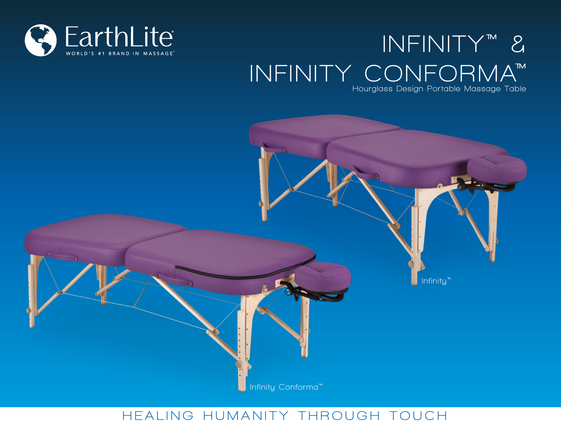

# **INFINITY™ & INFINITY CONFORMA™**

**Hourglass Design Portable Massage Table**



# **H E ALI N G H UMANI T Y T H ROUG H TOU C H**